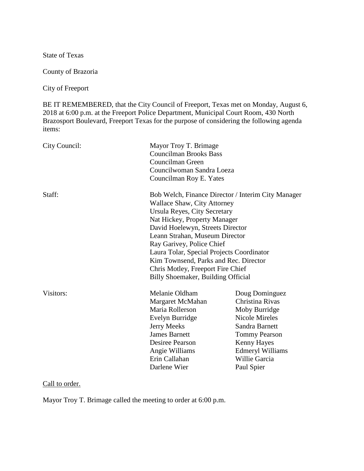State of Texas

County of Brazoria

City of Freeport

BE IT REMEMBERED, that the City Council of Freeport, Texas met on Monday, August 6, 2018 at 6:00 p.m. at the Freeport Police Department, Municipal Court Room, 430 North Brazosport Boulevard, Freeport Texas for the purpose of considering the following agenda items:

| City Council: | Mayor Troy T. Brimage                              |                         |
|---------------|----------------------------------------------------|-------------------------|
|               | <b>Councilman Brooks Bass</b>                      |                         |
|               | Councilman Green                                   |                         |
|               | Councilwoman Sandra Loeza                          |                         |
|               | Councilman Roy E. Yates                            |                         |
| Staff:        | Bob Welch, Finance Director / Interim City Manager |                         |
|               | <b>Wallace Shaw, City Attorney</b>                 |                         |
|               | Ursula Reyes, City Secretary                       |                         |
|               | Nat Hickey, Property Manager                       |                         |
|               | David Hoelewyn, Streets Director                   |                         |
|               | Leann Strahan, Museum Director                     |                         |
|               | Ray Garivey, Police Chief                          |                         |
|               | Laura Tolar, Special Projects Coordinator          |                         |
|               | Kim Townsend, Parks and Rec. Director              |                         |
|               | Chris Motley, Freeport Fire Chief                  |                         |
|               | Billy Shoemaker, Building Official                 |                         |
| Visitors:     | Melanie Oldham                                     | Doug Dominguez          |
|               | Margaret McMahan                                   | Christina Rivas         |
|               | Maria Rollerson                                    | Moby Burridge           |
|               | Evelyn Burridge                                    | Nicole Mireles          |
|               | <b>Jerry Meeks</b>                                 | Sandra Barnett          |
|               | <b>James Barnett</b>                               | <b>Tommy Pearson</b>    |
|               | Desiree Pearson                                    | <b>Kenny Hayes</b>      |
|               | Angie Williams                                     | <b>Edmeryl Williams</b> |
|               | Erin Callahan                                      | Willie Garcia           |
|               | Darlene Wier                                       | Paul Spier              |
|               |                                                    |                         |

# Call to order.

Mayor Troy T. Brimage called the meeting to order at 6:00 p.m.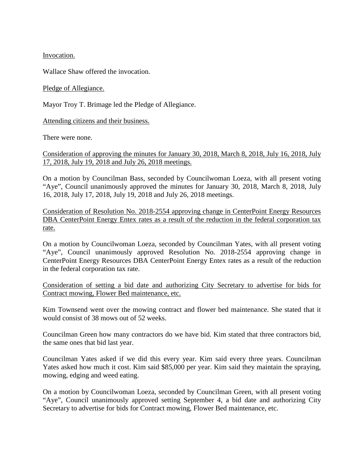Invocation.

Wallace Shaw offered the invocation.

Pledge of Allegiance.

Mayor Troy T. Brimage led the Pledge of Allegiance.

Attending citizens and their business.

There were none.

Consideration of approving the minutes for January 30, 2018, March 8, 2018, July 16, 2018, July 17, 2018, July 19, 2018 and July 26, 2018 meetings.

On a motion by Councilman Bass, seconded by Councilwoman Loeza, with all present voting "Aye", Council unanimously approved the minutes for January 30, 2018, March 8, 2018, July 16, 2018, July 17, 2018, July 19, 2018 and July 26, 2018 meetings.

Consideration of Resolution No. 2018-2554 approving change in CenterPoint Energy Resources DBA CenterPoint Energy Entex rates as a result of the reduction in the federal corporation tax rate.

On a motion by Councilwoman Loeza, seconded by Councilman Yates, with all present voting "Aye", Council unanimously approved Resolution No. 2018-2554 approving change in CenterPoint Energy Resources DBA CenterPoint Energy Entex rates as a result of the reduction in the federal corporation tax rate.

Consideration of setting a bid date and authorizing City Secretary to advertise for bids for Contract mowing, Flower Bed maintenance, etc.

Kim Townsend went over the mowing contract and flower bed maintenance. She stated that it would consist of 38 mows out of 52 weeks.

Councilman Green how many contractors do we have bid. Kim stated that three contractors bid, the same ones that bid last year.

Councilman Yates asked if we did this every year. Kim said every three years. Councilman Yates asked how much it cost. Kim said \$85,000 per year. Kim said they maintain the spraying, mowing, edging and weed eating.

On a motion by Councilwoman Loeza, seconded by Councilman Green, with all present voting "Aye", Council unanimously approved setting September 4, a bid date and authorizing City Secretary to advertise for bids for Contract mowing, Flower Bed maintenance, etc.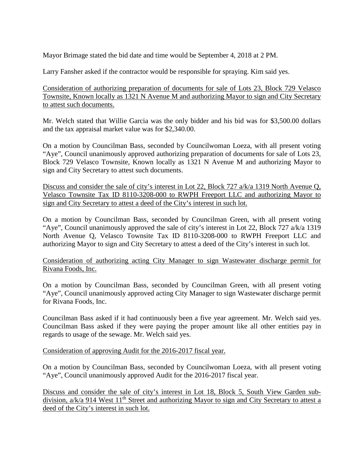Mayor Brimage stated the bid date and time would be September 4, 2018 at 2 PM.

Larry Fansher asked if the contractor would be responsible for spraying. Kim said yes.

Consideration of authorizing preparation of documents for sale of Lots 23, Block 729 Velasco Townsite, Known locally as 1321 N Avenue M and authorizing Mayor to sign and City Secretary to attest such documents.

Mr. Welch stated that Willie Garcia was the only bidder and his bid was for \$3,500.00 dollars and the tax appraisal market value was for \$2,340.00.

On a motion by Councilman Bass, seconded by Councilwoman Loeza, with all present voting "Aye", Council unanimously approved authorizing preparation of documents for sale of Lots 23, Block 729 Velasco Townsite, Known locally as 1321 N Avenue M and authorizing Mayor to sign and City Secretary to attest such documents.

Discuss and consider the sale of city's interest in Lot 22, Block 727 a/k/a 1319 North Avenue Q, Velasco Townsite Tax ID 8110-3208-000 to RWPH Freeport LLC and authorizing Mayor to sign and City Secretary to attest a deed of the City's interest in such lot.

On a motion by Councilman Bass, seconded by Councilman Green, with all present voting "Aye", Council unanimously approved the sale of city's interest in Lot 22, Block 727 a/k/a 1319 North Avenue Q, Velasco Townsite Tax ID 8110-3208-000 to RWPH Freeport LLC and authorizing Mayor to sign and City Secretary to attest a deed of the City's interest in such lot.

Consideration of authorizing acting City Manager to sign Wastewater discharge permit for Rivana Foods, Inc.

On a motion by Councilman Bass, seconded by Councilman Green, with all present voting "Aye", Council unanimously approved acting City Manager to sign Wastewater discharge permit for Rivana Foods, Inc.

Councilman Bass asked if it had continuously been a five year agreement. Mr. Welch said yes. Councilman Bass asked if they were paying the proper amount like all other entities pay in regards to usage of the sewage. Mr. Welch said yes.

### Consideration of approving Audit for the 2016-2017 fiscal year.

On a motion by Councilman Bass, seconded by Councilwoman Loeza, with all present voting "Aye", Council unanimously approved Audit for the 2016-2017 fiscal year.

Discuss and consider the sale of city's interest in Lot 18, Block 5, South View Garden subdivision,  $a/k/a$  914 West 11<sup>th</sup> Street and authorizing Mayor to sign and City Secretary to attest a deed of the City's interest in such lot.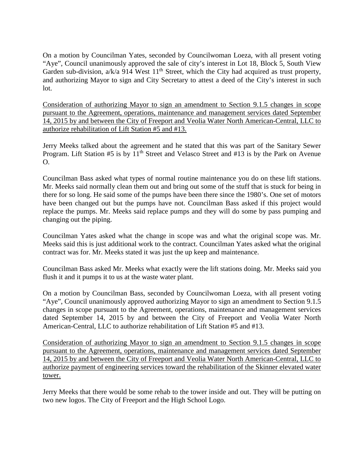On a motion by Councilman Yates, seconded by Councilwoman Loeza, with all present voting "Aye", Council unanimously approved the sale of city's interest in Lot 18, Block 5, South View Garden sub-division,  $a/k/a$  914 West  $11<sup>th</sup>$  Street, which the City had acquired as trust property, and authorizing Mayor to sign and City Secretary to attest a deed of the City's interest in such lot.

Consideration of authorizing Mayor to sign an amendment to Section 9.1.5 changes in scope pursuant to the Agreement, operations, maintenance and management services dated September 14, 2015 by and between the City of Freeport and Veolia Water North American-Central, LLC to authorize rehabilitation of Lift Station #5 and #13.

Jerry Meeks talked about the agreement and he stated that this was part of the Sanitary Sewer Program. Lift Station #5 is by 11<sup>th</sup> Street and Velasco Street and #13 is by the Park on Avenue  $\Omega$ .

Councilman Bass asked what types of normal routine maintenance you do on these lift stations. Mr. Meeks said normally clean them out and bring out some of the stuff that is stuck for being in there for so long. He said some of the pumps have been there since the 1980's. One set of motors have been changed out but the pumps have not. Councilman Bass asked if this project would replace the pumps. Mr. Meeks said replace pumps and they will do some by pass pumping and changing out the piping.

Councilman Yates asked what the change in scope was and what the original scope was. Mr. Meeks said this is just additional work to the contract. Councilman Yates asked what the original contract was for. Mr. Meeks stated it was just the up keep and maintenance.

Councilman Bass asked Mr. Meeks what exactly were the lift stations doing. Mr. Meeks said you flush it and it pumps it to us at the waste water plant.

On a motion by Councilman Bass, seconded by Councilwoman Loeza, with all present voting "Aye", Council unanimously approved authorizing Mayor to sign an amendment to Section 9.1.5 changes in scope pursuant to the Agreement, operations, maintenance and management services dated September 14, 2015 by and between the City of Freeport and Veolia Water North American-Central, LLC to authorize rehabilitation of Lift Station #5 and #13.

Consideration of authorizing Mayor to sign an amendment to Section 9.1.5 changes in scope pursuant to the Agreement, operations, maintenance and management services dated September 14, 2015 by and between the City of Freeport and Veolia Water North American-Central, LLC to authorize payment of engineering services toward the rehabilitation of the Skinner elevated water tower.

Jerry Meeks that there would be some rehab to the tower inside and out. They will be putting on two new logos. The City of Freeport and the High School Logo.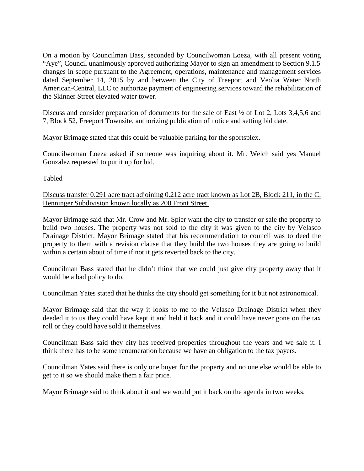On a motion by Councilman Bass, seconded by Councilwoman Loeza, with all present voting "Aye", Council unanimously approved authorizing Mayor to sign an amendment to Section 9.1.5 changes in scope pursuant to the Agreement, operations, maintenance and management services dated September 14, 2015 by and between the City of Freeport and Veolia Water North American-Central, LLC to authorize payment of engineering services toward the rehabilitation of the Skinner Street elevated water tower.

Discuss and consider preparation of documents for the sale of East ½ of Lot 2, Lots 3,4,5,6 and 7, Block 52, Freeport Townsite, authorizing publication of notice and setting bid date.

Mayor Brimage stated that this could be valuable parking for the sportsplex.

Councilwoman Loeza asked if someone was inquiring about it. Mr. Welch said yes Manuel Gonzalez requested to put it up for bid.

Tabled

Discuss transfer 0.291 acre tract adjoining 0.212 acre tract known as Lot 2B, Block 211, in the C. Henninger Subdivision known locally as 200 Front Street.

Mayor Brimage said that Mr. Crow and Mr. Spier want the city to transfer or sale the property to build two houses. The property was not sold to the city it was given to the city by Velasco Drainage District. Mayor Brimage stated that his recommendation to council was to deed the property to them with a revision clause that they build the two houses they are going to build within a certain about of time if not it gets reverted back to the city.

Councilman Bass stated that he didn't think that we could just give city property away that it would be a bad policy to do.

Councilman Yates stated that he thinks the city should get something for it but not astronomical.

Mayor Brimage said that the way it looks to me to the Velasco Drainage District when they deeded it to us they could have kept it and held it back and it could have never gone on the tax roll or they could have sold it themselves.

Councilman Bass said they city has received properties throughout the years and we sale it. I think there has to be some renumeration because we have an obligation to the tax payers.

Councilman Yates said there is only one buyer for the property and no one else would be able to get to it so we should make them a fair price.

Mayor Brimage said to think about it and we would put it back on the agenda in two weeks.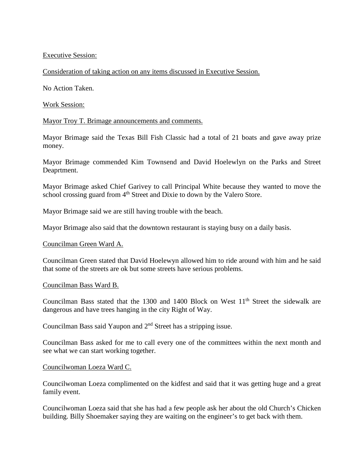### Executive Session:

### Consideration of taking action on any items discussed in Executive Session.

No Action Taken.

## Work Session:

## Mayor Troy T. Brimage announcements and comments.

Mayor Brimage said the Texas Bill Fish Classic had a total of 21 boats and gave away prize money.

Mayor Brimage commended Kim Townsend and David Hoelewlyn on the Parks and Street Deaprtment.

Mayor Brimage asked Chief Garivey to call Principal White because they wanted to move the school crossing guard from 4<sup>th</sup> Street and Dixie to down by the Valero Store.

Mayor Brimage said we are still having trouble with the beach.

Mayor Brimage also said that the downtown restaurant is staying busy on a daily basis.

### Councilman Green Ward A.

Councilman Green stated that David Hoelewyn allowed him to ride around with him and he said that some of the streets are ok but some streets have serious problems.

### Councilman Bass Ward B.

Councilman Bass stated that the 1300 and 1400 Block on West 11<sup>th</sup> Street the sidewalk are dangerous and have trees hanging in the city Right of Way.

Councilman Bass said Yaupon and  $2<sup>nd</sup>$  Street has a stripping issue.

Councilman Bass asked for me to call every one of the committees within the next month and see what we can start working together.

### Councilwoman Loeza Ward C.

Councilwoman Loeza complimented on the kidfest and said that it was getting huge and a great family event.

Councilwoman Loeza said that she has had a few people ask her about the old Church's Chicken building. Billy Shoemaker saying they are waiting on the engineer's to get back with them.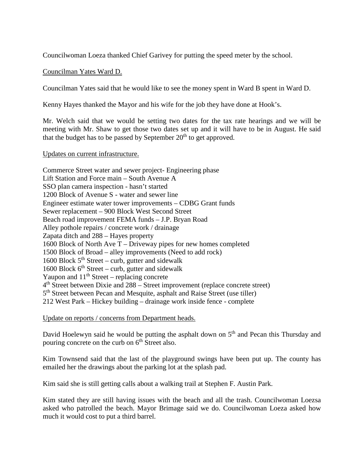Councilwoman Loeza thanked Chief Garivey for putting the speed meter by the school.

### Councilman Yates Ward D.

Councilman Yates said that he would like to see the money spent in Ward B spent in Ward D.

Kenny Hayes thanked the Mayor and his wife for the job they have done at Hook's.

Mr. Welch said that we would be setting two dates for the tax rate hearings and we will be meeting with Mr. Shaw to get those two dates set up and it will have to be in August. He said that the budget has to be passed by September  $20<sup>th</sup>$  to get approved.

#### Updates on current infrastructure.

Commerce Street water and sewer project- Engineering phase Lift Station and Force main – South Avenue A SSO plan camera inspection - hasn't started 1200 Block of Avenue S - water and sewer line Engineer estimate water tower improvements – CDBG Grant funds Sewer replacement – 900 Block West Second Street Beach road improvement FEMA funds – J.P. Bryan Road Alley pothole repairs / concrete work / drainage Zapata ditch and 288 – Hayes property 1600 Block of North Ave T – Driveway pipes for new homes completed 1500 Block of Broad – alley improvements (Need to add rock) 1600 Block  $5<sup>th</sup> Street - \text{curb}$ , gutter and sidewalk 1600 Block  $6<sup>th</sup> Street - \text{curl}$ , gutter and sidewalk Yaupon and  $11<sup>th</sup> Street – replacing concrete$  $4<sup>th</sup>$  Street between Dixie and 288 – Street improvement (replace concrete street) 5th Street between Pecan and Mesquite, asphalt and Raise Street (use tiller) 212 West Park – Hickey building – drainage work inside fence - complete

Update on reports / concerns from Department heads.

David Hoelewyn said he would be putting the asphalt down on 5<sup>th</sup> and Pecan this Thursday and pouring concrete on the curb on  $6<sup>th</sup>$  Street also.

Kim Townsend said that the last of the playground swings have been put up. The county has emailed her the drawings about the parking lot at the splash pad.

Kim said she is still getting calls about a walking trail at Stephen F. Austin Park.

Kim stated they are still having issues with the beach and all the trash. Councilwoman Loezsa asked who patrolled the beach. Mayor Brimage said we do. Councilwoman Loeza asked how much it would cost to put a third barrel.